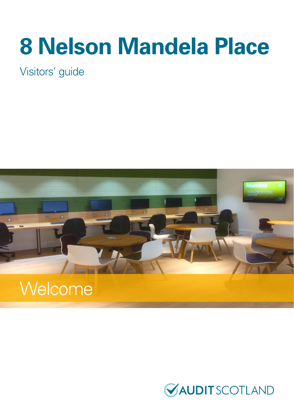# **8 Nelson Mandela Place**

Visitors' guide



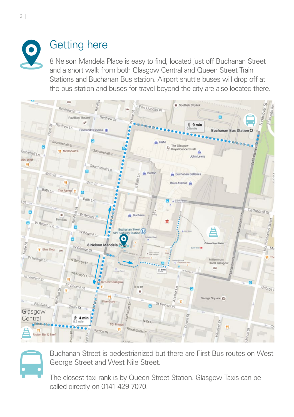

## Getting here

8 Nelson Mandela Place is easy to find, located just off Buchanan Street and a short walk from both Glasgow Central and Queen Street Train Stations and Buchanan Bus station. Airport shuttle buses will drop off at the bus station and buses for travel beyond the city are also located there.



Buchanan Street is pedestrianized but there are First Bus routes on West George Street and West Nile Street.

The closest taxi rank is by Queen Street Station. Glasgow Taxis can be called directly on 0141 429 7070.